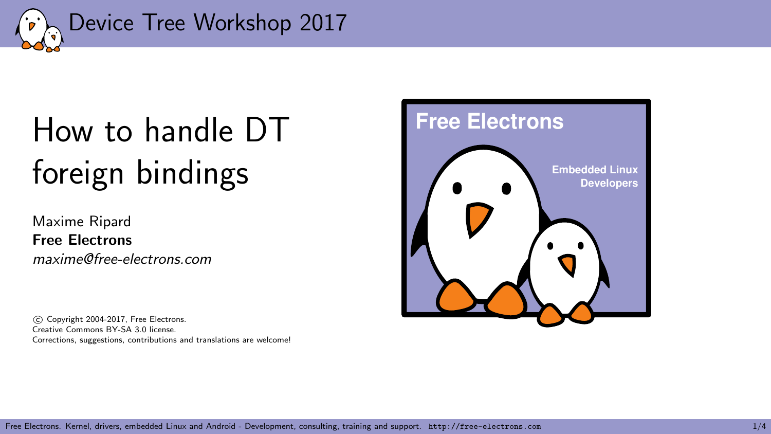<span id="page-0-0"></span>

## [How to handle DT](#page-0-0) [foreign bindings](#page-0-0)

Maxime Ripard Free Electrons maxime@free-electrons.com

 c Copyright 2004-2017, Free Electrons. Creative Commons BY-SA 3.0 license. Corrections, suggestions, contributions and translations are welcome!



Free Electrons. Kernel, drivers, embedded Linux and Android - Development, consulting, training and support. http://free-electrons.com 1/4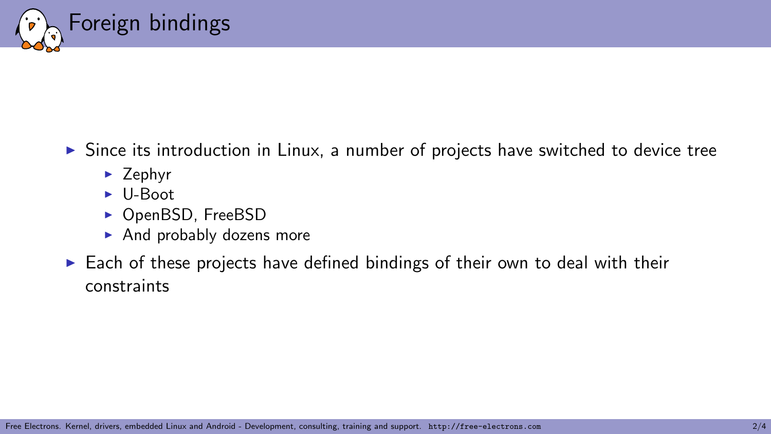

- $\triangleright$  Since its introduction in Linux, a number of projects have switched to device tree
	- $\blacktriangleright$  Zephyr
	- $\blacktriangleright$  U-Boot
	- ▶ OpenBSD, FreeBSD
	- $\blacktriangleright$  And probably dozens more
- $\blacktriangleright$  Each of these projects have defined bindings of their own to deal with their constraints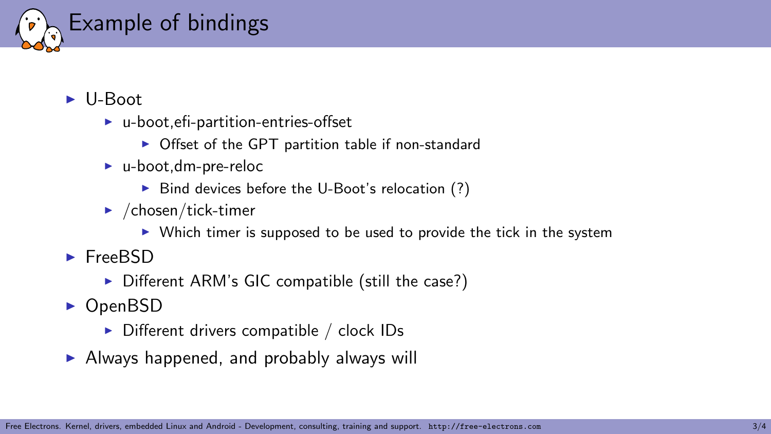

- $\blacktriangleright$  U-Boot
	- $\blacktriangleright$  u-boot, efi-partition-entries-offset
		- $\triangleright$  Offset of the GPT partition table if non-standard
	- $\blacktriangleright$  u-boot, dm-pre-reloc
		- $\triangleright$  Bind devices before the U-Boot's relocation (?)
	- $\blacktriangleright$  /chosen/tick-timer
		- $\triangleright$  Which timer is supposed to be used to provide the tick in the system
- $\blacktriangleright$  FreeBSD
	- $\triangleright$  Different ARM's GIC compatible (still the case?)
- $\triangleright$  OpenBSD
	- $\triangleright$  Different drivers compatible / clock IDs
- $\blacktriangleright$  Always happened, and probably always will